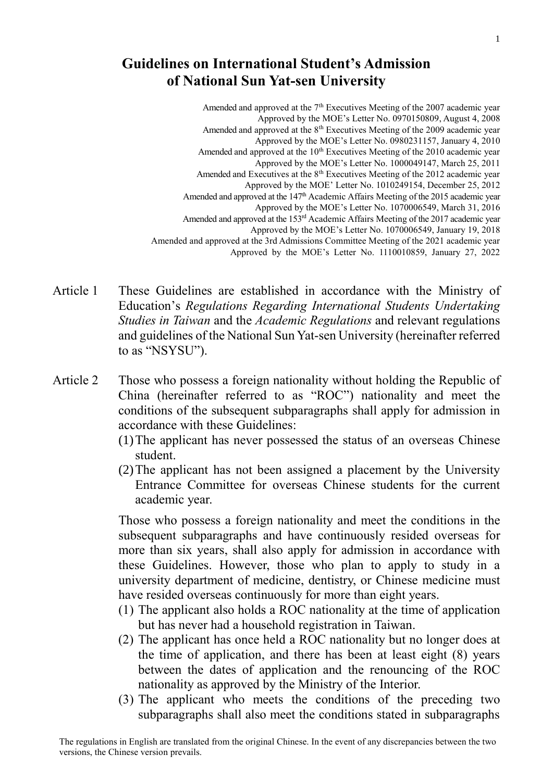## **Guidelines on International Student's Admission of National Sun Yat-sen University**

Amended and approved at the  $7<sup>th</sup>$  Executives Meeting of the 2007 academic year Approved by the MOE's Letter No. 0970150809, August 4, 2008 Amended and approved at the 8<sup>th</sup> Executives Meeting of the 2009 academic year Approved by the MOE's Letter No. 0980231157, January 4, 2010 Amended and approved at the 10<sup>th</sup> Executives Meeting of the 2010 academic year Approved by the MOE's Letter No. 1000049147, March 25, 2011 Amended and Executives at the  $8<sup>th</sup>$  Executives Meeting of the 2012 academic year Approved by the MOE' Letter No. 1010249154, December 25, 2012 Amended and approved at the 147<sup>th</sup> Academic Affairs Meeting of the 2015 academic year Approved by the MOE's Letter No. 1070006549, March 31, 2016 Amended and approved at the 153rd Academic Affairs Meeting of the 2017 academic year Approved by the MOE's Letter No. 1070006549, January 19, 2018 Amended and approved at the 3rd Admissions Committee Meeting of the 2021 academic year Approved by the MOE's Letter No. 1110010859, January 27, 2022

- Article 1 These Guidelines are established in accordance with the Ministry of Education's *Regulations Regarding International Students Undertaking Studies in Taiwan* and the *Academic Regulations* and relevant regulations and guidelines of the National Sun Yat-sen University (hereinafter referred to as "NSYSU").
- Article 2 Those who possess a foreign nationality without holding the Republic of China (hereinafter referred to as "ROC") nationality and meet the conditions of the subsequent subparagraphs shall apply for admission in accordance with these Guidelines:
	- (1)The applicant has never possessed the status of an overseas Chinese student.
	- (2)The applicant has not been assigned a placement by the University Entrance Committee for overseas Chinese students for the current academic year.

Those who possess a foreign nationality and meet the conditions in the subsequent subparagraphs and have continuously resided overseas for more than six years, shall also apply for admission in accordance with these Guidelines. However, those who plan to apply to study in a university department of medicine, dentistry, or Chinese medicine must have resided overseas continuously for more than eight years.

- (1) The applicant also holds a ROC nationality at the time of application but has never had a household registration in Taiwan.
- (2) The applicant has once held a ROC nationality but no longer does at the time of application, and there has been at least eight (8) years between the dates of application and the renouncing of the ROC nationality as approved by the Ministry of the Interior.
- (3) The applicant who meets the conditions of the preceding two subparagraphs shall also meet the conditions stated in subparagraphs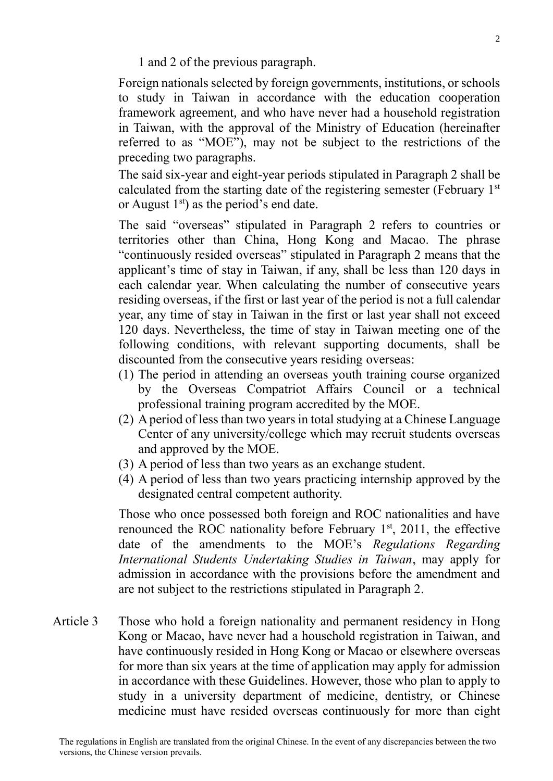1 and 2 of the previous paragraph.

Foreign nationals selected by foreign governments, institutions, or schools to study in Taiwan in accordance with the education cooperation framework agreement, and who have never had a household registration in Taiwan, with the approval of the Ministry of Education (hereinafter referred to as "MOE"), may not be subject to the restrictions of the preceding two paragraphs.

The said six-year and eight-year periods stipulated in Paragraph 2 shall be calculated from the starting date of the registering semester (February  $1<sup>st</sup>$ or August  $1<sup>st</sup>$  as the period's end date.

The said "overseas" stipulated in Paragraph 2 refers to countries or territories other than China, Hong Kong and Macao. The phrase "continuously resided overseas" stipulated in Paragraph 2 means that the applicant's time of stay in Taiwan, if any, shall be less than 120 days in each calendar year. When calculating the number of consecutive years residing overseas, if the first or last year of the period is not a full calendar year, any time of stay in Taiwan in the first or last year shall not exceed 120 days. Nevertheless, the time of stay in Taiwan meeting one of the following conditions, with relevant supporting documents, shall be discounted from the consecutive years residing overseas:

- (1) The period in attending an overseas youth training course organized by the Overseas Compatriot Affairs Council or a technical professional training program accredited by the MOE.
- (2) Aperiod of less than two years in total studying at a Chinese Language Center of any university/college which may recruit students overseas and approved by the MOE.
- (3) A period of less than two years as an exchange student.
- (4) A period of less than two years practicing internship approved by the designated central competent authority.

Those who once possessed both foreign and ROC nationalities and have renounced the ROC nationality before February  $1<sup>st</sup>$ , 2011, the effective date of the amendments to the MOE's *Regulations Regarding International Students Undertaking Studies in Taiwan*, may apply for admission in accordance with the provisions before the amendment and are not subject to the restrictions stipulated in Paragraph 2.

Article 3 Those who hold a foreign nationality and permanent residency in Hong Kong or Macao, have never had a household registration in Taiwan, and have continuously resided in Hong Kong or Macao or elsewhere overseas for more than six years at the time of application may apply for admission in accordance with these Guidelines. However, those who plan to apply to study in a university department of medicine, dentistry, or Chinese medicine must have resided overseas continuously for more than eight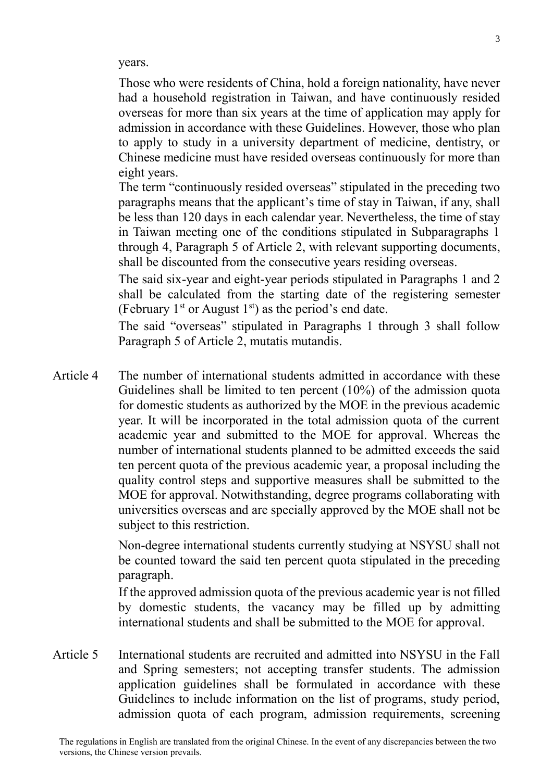years.

Those who were residents of China, hold a foreign nationality, have never had a household registration in Taiwan, and have continuously resided overseas for more than six years at the time of application may apply for admission in accordance with these Guidelines. However, those who plan to apply to study in a university department of medicine, dentistry, or Chinese medicine must have resided overseas continuously for more than eight years.

The term "continuously resided overseas" stipulated in the preceding two paragraphs means that the applicant's time of stay in Taiwan, if any, shall be less than 120 days in each calendar year. Nevertheless, the time of stay in Taiwan meeting one of the conditions stipulated in Subparagraphs 1 through 4, Paragraph 5 of Article 2, with relevant supporting documents, shall be discounted from the consecutive years residing overseas.

The said six-year and eight-year periods stipulated in Paragraphs 1 and 2 shall be calculated from the starting date of the registering semester (February  $1<sup>st</sup>$  or August  $1<sup>st</sup>$ ) as the period's end date.

The said "overseas" stipulated in Paragraphs 1 through 3 shall follow Paragraph 5 of Article 2, mutatis mutandis.

Article 4 The number of international students admitted in accordance with these Guidelines shall be limited to ten percent (10%) of the admission quota for domestic students as authorized by the MOE in the previous academic year. It will be incorporated in the total admission quota of the current academic year and submitted to the MOE for approval. Whereas the number of international students planned to be admitted exceeds the said ten percent quota of the previous academic year, a proposal including the quality control steps and supportive measures shall be submitted to the MOE for approval. Notwithstanding, degree programs collaborating with universities overseas and are specially approved by the MOE shall not be subject to this restriction.

> Non-degree international students currently studying at NSYSU shall not be counted toward the said ten percent quota stipulated in the preceding paragraph.

> If the approved admission quota of the previous academic year is not filled by domestic students, the vacancy may be filled up by admitting international students and shall be submitted to the MOE for approval.

Article 5 International students are recruited and admitted into NSYSU in the Fall and Spring semesters; not accepting transfer students. The admission application guidelines shall be formulated in accordance with these Guidelines to include information on the list of programs, study period, admission quota of each program, admission requirements, screening

3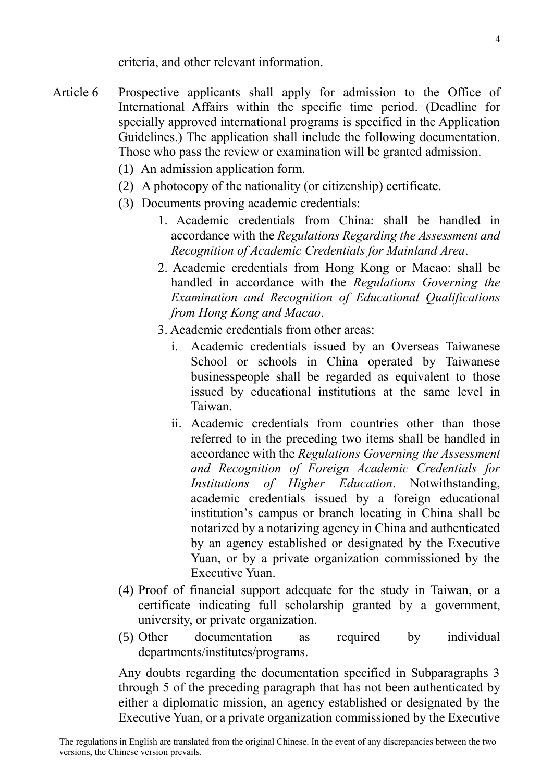criteria, and other relevant information.

- Article 6 Prospective applicants shall apply for admission to the Office of International Affairs within the specific time period. (Deadline for specially approved international programs is specified in the Application Guidelines.) The application shall include the following documentation. Those who pass the review or examination will be granted admission.
	- (1) An admission application form.
	- (2) A photocopy of the nationality (or citizenship) certificate.
	- (3) Documents proving academic credentials:
		- 1. Academic credentials from China: shall be handled in accordance with the *Regulations Regarding the Assessment and Recognition of Academic Credentials for Mainland Area*.
		- 2. Academic credentials from Hong Kong or Macao: shall be handled in accordance with the *Regulations Governing the Examination and Recognition of Educational Qualifications from Hong Kong and Macao*.
		- 3. Academic credentials from other areas:
			- i. Academic credentials issued by an Overseas Taiwanese School or schools in China operated by Taiwanese businesspeople shall be regarded as equivalent to those issued by educational institutions at the same level in Taiwan.
			- ii. Academic credentials from countries other than those referred to in the preceding two items shall be handled in accordance with the *Regulations Governing the Assessment and Recognition of Foreign Academic Credentials for Institutions of Higher Education*. Notwithstanding, academic credentials issued by a foreign educational institution's campus or branch locating in China shall be notarized by a notarizing agency in China and authenticated by an agency established or designated by the Executive Yuan, or by a private organization commissioned by the Executive Yuan.
	- (4) Proof of financial support adequate for the study in Taiwan, or a certificate indicating full scholarship granted by a government, university, or private organization.
	- (5) Other documentation as required by individual departments/institutes/programs.

Any doubts regarding the documentation specified in Subparagraphs 3 through 5 of the preceding paragraph that has not been authenticated by either a diplomatic mission, an agency established or designated by the Executive Yuan, or a private organization commissioned by the Executive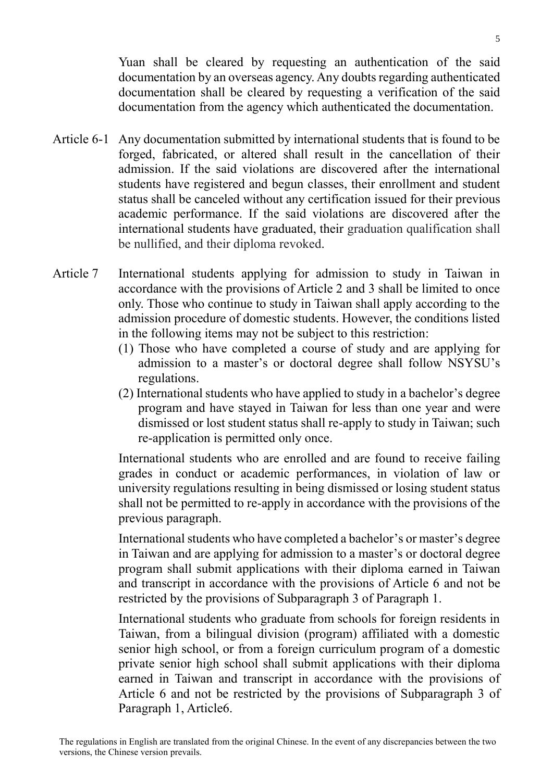Yuan shall be cleared by requesting an authentication of the said documentation by an overseas agency. Any doubts regarding authenticated documentation shall be cleared by requesting a verification of the said documentation from the agency which authenticated the documentation.

- Article 6-1 Any documentation submitted by international students that is found to be forged, fabricated, or altered shall result in the cancellation of their admission. If the said violations are discovered after the international students have registered and begun classes, their enrollment and student status shall be canceled without any certification issued for their previous academic performance. If the said violations are discovered after the international students have graduated, their graduation qualification shall be nullified, and their diploma revoked.
- Article 7 International students applying for admission to study in Taiwan in accordance with the provisions of Article 2 and 3 shall be limited to once only. Those who continue to study in Taiwan shall apply according to the admission procedure of domestic students. However, the conditions listed in the following items may not be subject to this restriction:
	- (1) Those who have completed a course of study and are applying for admission to a master's or doctoral degree shall follow NSYSU's regulations.
	- (2) International students who have applied to study in a bachelor's degree program and have stayed in Taiwan for less than one year and were dismissed or lost student status shall re-apply to study in Taiwan; such re-application is permitted only once.

International students who are enrolled and are found to receive failing grades in conduct or academic performances, in violation of law or university regulations resulting in being dismissed or losing student status shall not be permitted to re-apply in accordance with the provisions of the previous paragraph.

International students who have completed a bachelor's or master's degree in Taiwan and are applying for admission to a master's or doctoral degree program shall submit applications with their diploma earned in Taiwan and transcript in accordance with the provisions of Article 6 and not be restricted by the provisions of Subparagraph 3 of Paragraph 1.

International students who graduate from schools for foreign residents in Taiwan, from a bilingual division (program) affiliated with a domestic senior high school, or from a foreign curriculum program of a domestic private senior high school shall submit applications with their diploma earned in Taiwan and transcript in accordance with the provisions of Article 6 and not be restricted by the provisions of Subparagraph 3 of Paragraph 1, Article6.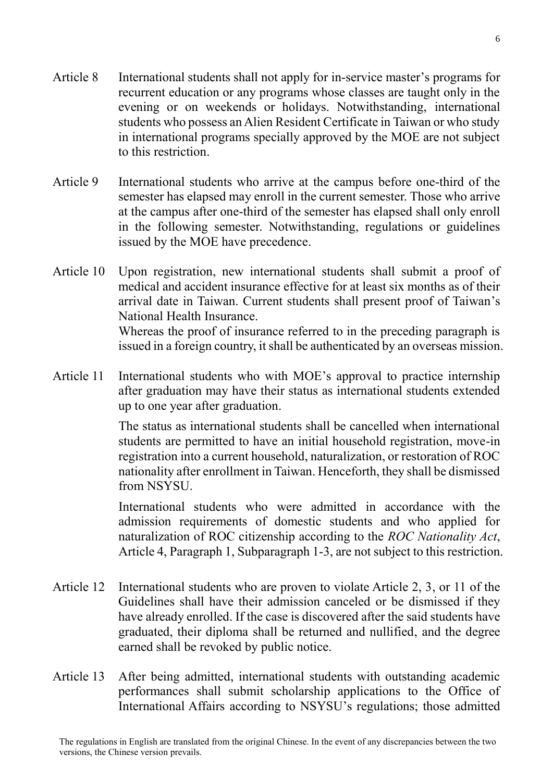- Article 8 International students shall not apply for in-service master's programs for recurrent education or any programs whose classes are taught only in the evening or on weekends or holidays. Notwithstanding, international students who possess an Alien Resident Certificate in Taiwan or who study in international programs specially approved by the MOE are not subject to this restriction.
- Article 9 International students who arrive at the campus before one-third of the semester has elapsed may enroll in the current semester. Those who arrive at the campus after one-third of the semester has elapsed shall only enroll in the following semester. Notwithstanding, regulations or guidelines issued by the MOE have precedence.
- Article 10 Upon registration, new international students shall submit a proof of medical and accident insurance effective for at least six months as of their arrival date in Taiwan. Current students shall present proof of Taiwan's National Health Insurance. Whereas the proof of insurance referred to in the preceding paragraph is

issued in a foreign country, it shall be authenticated by an overseas mission.

Article 11 International students who with MOE's approval to practice internship after graduation may have their status as international students extended up to one year after graduation.

> The status as international students shall be cancelled when international students are permitted to have an initial household registration, move-in registration into a current household, naturalization, or restoration of ROC nationality after enrollment in Taiwan. Henceforth, they shall be dismissed from NSYSU.

> International students who were admitted in accordance with the admission requirements of domestic students and who applied for naturalization of ROC citizenship according to the *ROC Nationality Act*, Article 4, Paragraph 1, Subparagraph 1-3, are not subject to this restriction.

- Article 12 International students who are proven to violate Article 2, 3, or 11 of the Guidelines shall have their admission canceled or be dismissed if they have already enrolled. If the case is discovered after the said students have graduated, their diploma shall be returned and nullified, and the degree earned shall be revoked by public notice.
- Article 13 After being admitted, international students with outstanding academic performances shall submit scholarship applications to the Office of International Affairs according to NSYSU's regulations; those admitted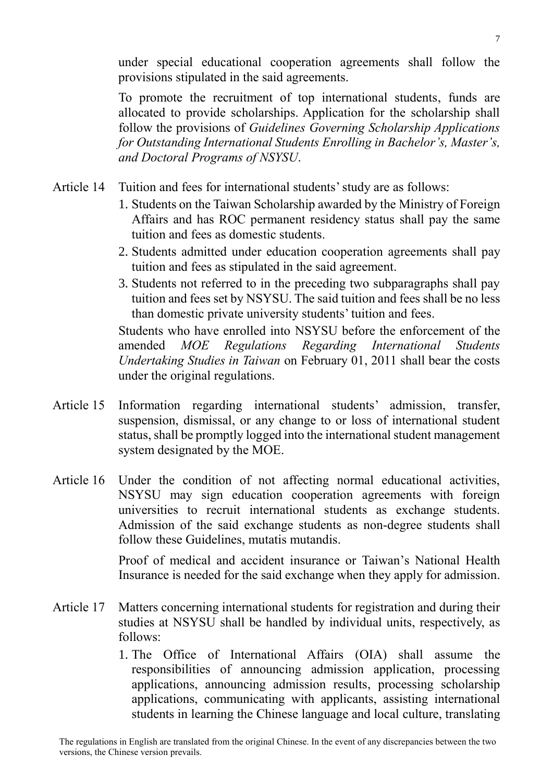under special educational cooperation agreements shall follow the provisions stipulated in the said agreements.

To promote the recruitment of top international students, funds are allocated to provide scholarships. Application for the scholarship shall follow the provisions of *Guidelines Governing Scholarship Applications for Outstanding International Students Enrolling in Bachelor's, Master's, and Doctoral Programs of NSYSU*.

- Article 14 Tuition and fees for international students' study are as follows:
	- 1. Students on the Taiwan Scholarship awarded by the Ministry of Foreign Affairs and has ROC permanent residency status shall pay the same tuition and fees as domestic students.
	- 2. Students admitted under education cooperation agreements shall pay tuition and fees as stipulated in the said agreement.
	- 3. Students not referred to in the preceding two subparagraphs shall pay tuition and fees set by NSYSU. The said tuition and fees shall be no less than domestic private university students' tuition and fees.

Students who have enrolled into NSYSU before the enforcement of the amended *MOE Regulations Regarding International Students Undertaking Studies in Taiwan* on February 01, 2011 shall bear the costs under the original regulations.

- Article 15 Information regarding international students' admission, transfer, suspension, dismissal, or any change to or loss of international student status, shall be promptly logged into the international student management system designated by the MOE.
- Article 16 Under the condition of not affecting normal educational activities, NSYSU may sign education cooperation agreements with foreign universities to recruit international students as exchange students. Admission of the said exchange students as non-degree students shall follow these Guidelines, mutatis mutandis.

Proof of medical and accident insurance or Taiwan's National Health Insurance is needed for the said exchange when they apply for admission.

- Article 17 Matters concerning international students for registration and during their studies at NSYSU shall be handled by individual units, respectively, as follows:
	- 1. The Office of International Affairs (OIA) shall assume the responsibilities of announcing admission application, processing applications, announcing admission results, processing scholarship applications, communicating with applicants, assisting international students in learning the Chinese language and local culture, translating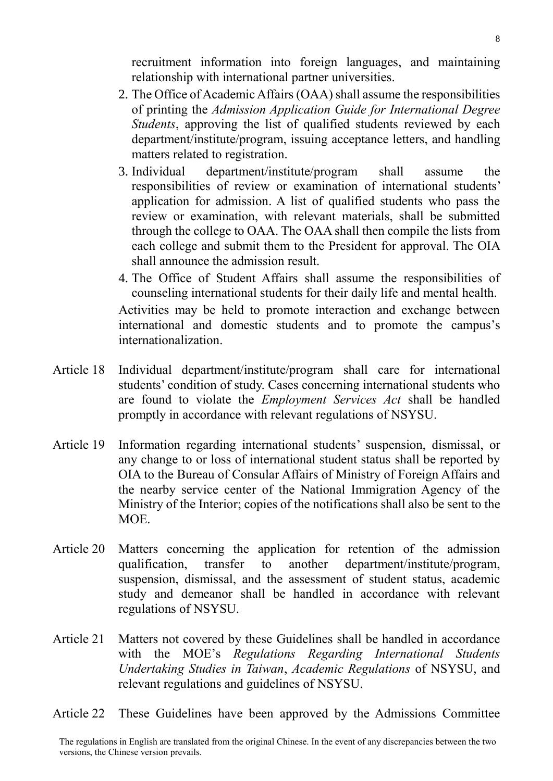recruitment information into foreign languages, and maintaining relationship with international partner universities.

- 2. The Office of Academic Affairs (OAA) shall assume the responsibilities of printing the *Admission Application Guide for International Degree Students*, approving the list of qualified students reviewed by each department/institute/program, issuing acceptance letters, and handling matters related to registration.
- 3. Individual department/institute/program shall assume the responsibilities of review or examination of international students' application for admission. A list of qualified students who pass the review or examination, with relevant materials, shall be submitted through the college to OAA. The OAA shall then compile the lists from each college and submit them to the President for approval. The OIA shall announce the admission result.
- 4. The Office of Student Affairs shall assume the responsibilities of counseling international students for their daily life and mental health.

Activities may be held to promote interaction and exchange between international and domestic students and to promote the campus's internationalization.

- Article 18 Individual department/institute/program shall care for international students' condition of study. Cases concerning international students who are found to violate the *Employment Services Act* shall be handled promptly in accordance with relevant regulations of NSYSU.
- Article 19 Information regarding international students' suspension, dismissal, or any change to or loss of international student status shall be reported by OIA to the Bureau of Consular Affairs of Ministry of Foreign Affairs and the nearby service center of the National Immigration Agency of the Ministry of the Interior; copies of the notifications shall also be sent to the MOE.
- Article 20 Matters concerning the application for retention of the admission qualification, transfer to another department/institute/program, suspension, dismissal, and the assessment of student status, academic study and demeanor shall be handled in accordance with relevant regulations of NSYSU.
- Article 21 Matters not covered by these Guidelines shall be handled in accordance with the MOE's *Regulations Regarding International Students Undertaking Studies in Taiwan*, *Academic Regulations* of NSYSU, and relevant regulations and guidelines of NSYSU.
- Article 22 These Guidelines have been approved by the Admissions Committee